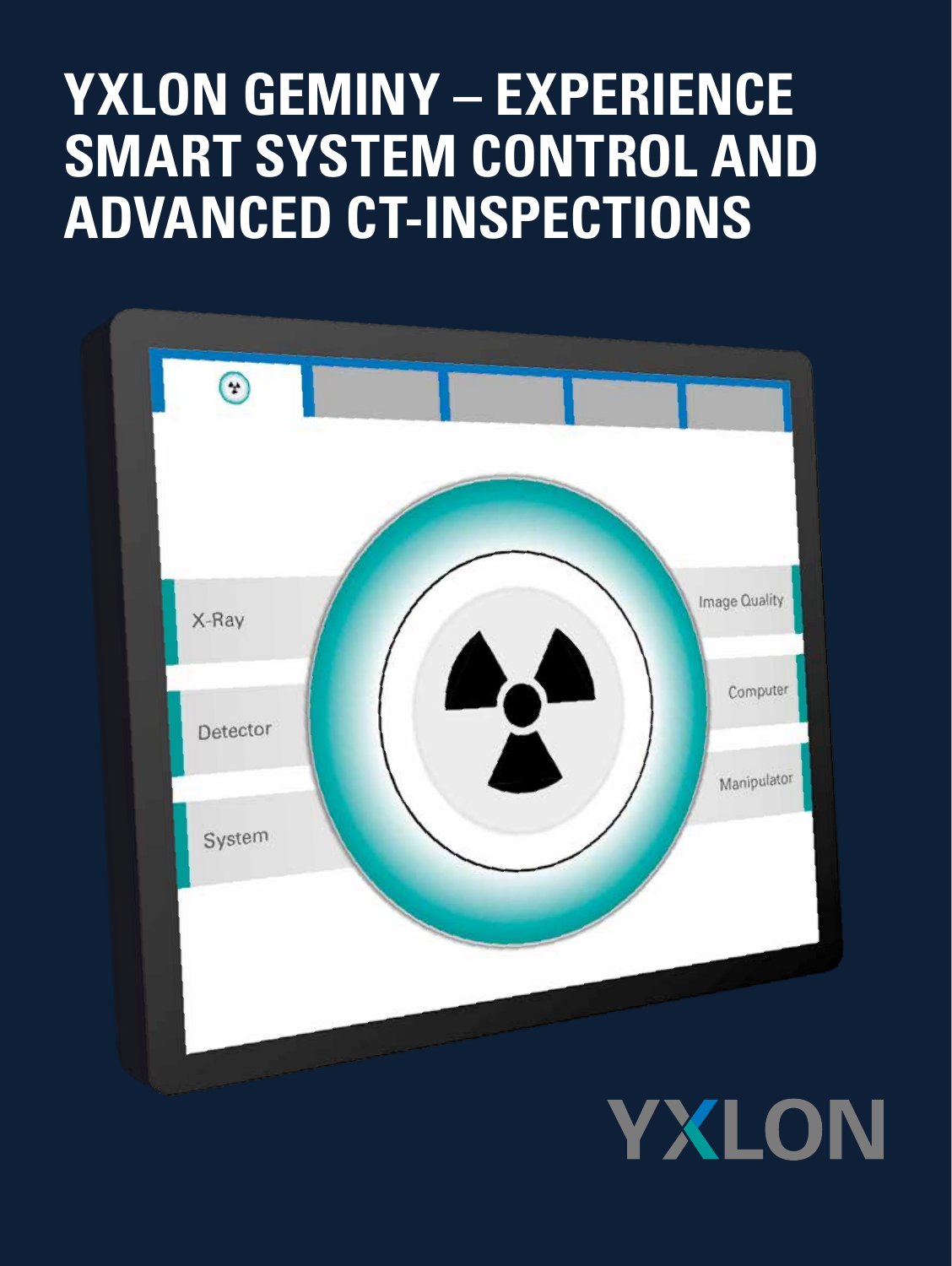# **YXLON GEMINY – EXPERIENCE SMART SYSTEM CONTROL AND ADVANCED CT-INSPECTIONS**



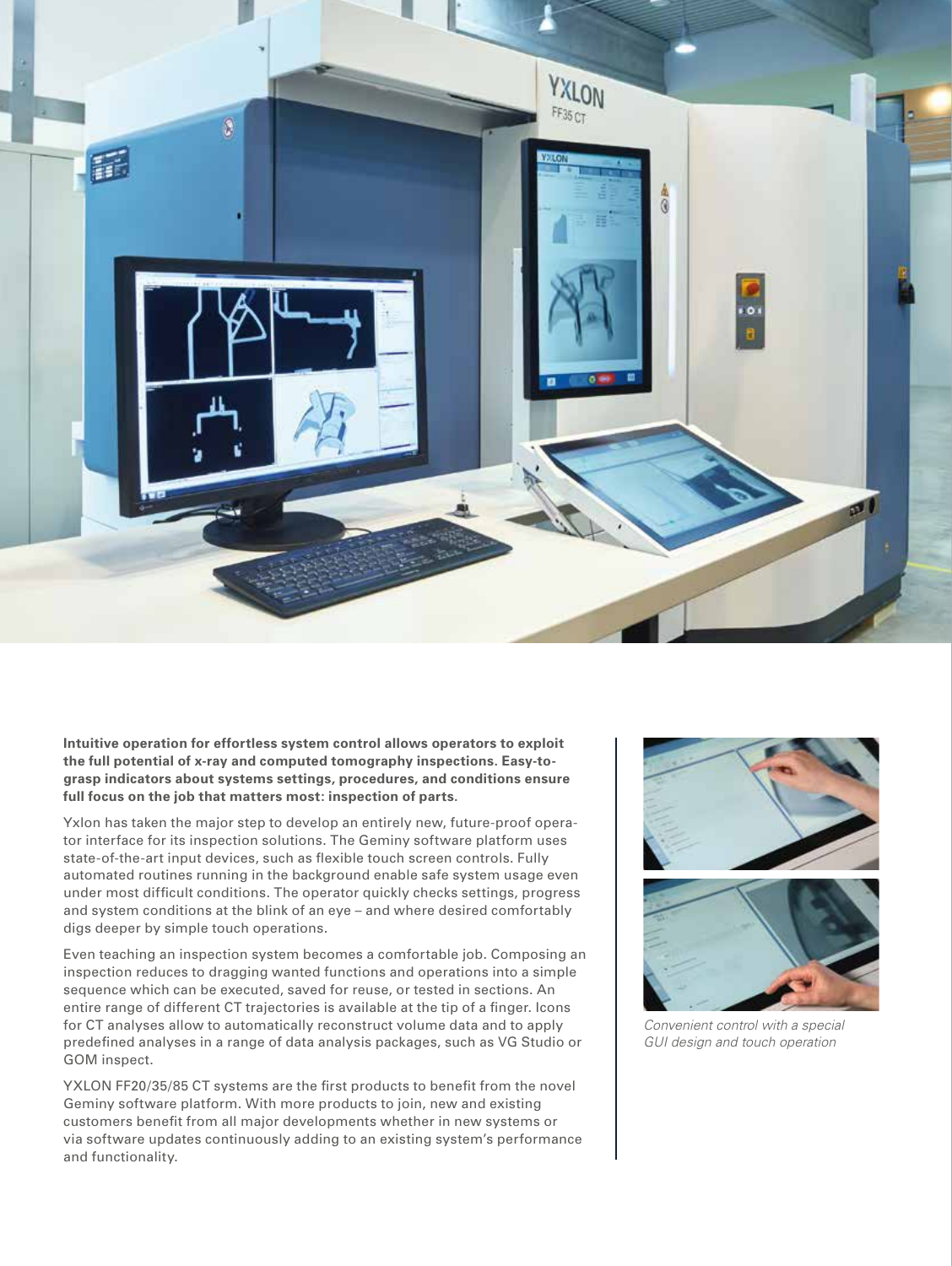

**Intuitive operation for effortless system control allows operators to exploit the full potential of x-ray and computed tomography inspections. Easy-tograsp indicators about systems settings, procedures, and conditions ensure full focus on the job that matters most: inspection of parts.**

Yxlon has taken the major step to develop an entirely new, future-proof operator interface for its inspection solutions. The Geminy software platform uses state-of-the-art input devices, such as flexible touch screen controls. Fully automated routines running in the background enable safe system usage even under most difficult conditions. The operator quickly checks settings, progress and system conditions at the blink of an eye – and where desired comfortably digs deeper by simple touch operations.

Even teaching an inspection system becomes a comfortable job. Composing an inspection reduces to dragging wanted functions and operations into a simple sequence which can be executed, saved for reuse, or tested in sections. An entire range of different CT trajectories is available at the tip of a finger. Icons for CT analyses allow to automatically reconstruct volume data and to apply predefined analyses in a range of data analysis packages, such as VG Studio or GOM inspect.

YXLON FF20/35/85 CT systems are the first products to benefit from the novel Geminy software platform. With more products to join, new and existing customers benefit from all major developments whether in new systems or via software updates continuously adding to an existing system's performance and functionality.





*Convenient control with a special GUI design and touch operation*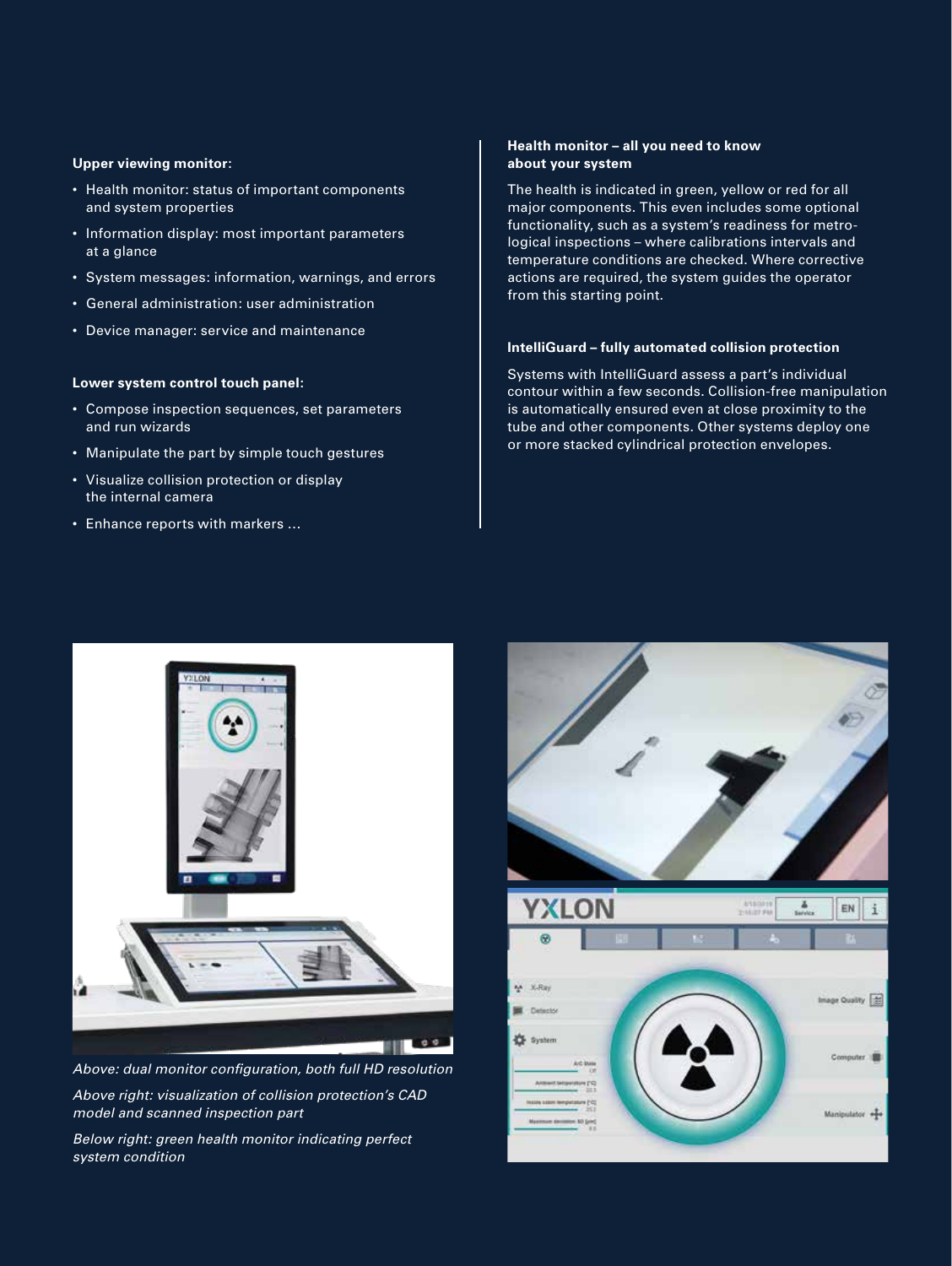### **Upper viewing monitor:**

- Health monitor: status of important components and system properties
- Information display: most important parameters at a glance
- System messages: information, warnings, and errors
- General administration: user administration
- Device manager: service and maintenance

### **Lower system control touch panel:**

- Compose inspection sequences, set parameters and run wizards
- Manipulate the part by simple touch gestures
- Visualize collision protection or display the internal camera
- Enhance reports with markers …

### **Health monitor – all you need to know about your system**

The health is indicated in green, yellow or red for all major components. This even includes some optional functionality, such as a system's readiness for metrological inspections – where calibrations intervals and temperature conditions are checked. Where corrective actions are required, the system guides the operator from this starting point.

### **IntelliGuard – fully automated collision protection**

Systems with IntelliGuard assess a part's individual contour within a few seconds. Collision-free manipulation is automatically ensured even at close proximity to the tube and other components. Other systems deploy one or more stacked cylindrical protection envelopes.



*Above: dual monitor configuration, both full HD resolution*

*Above right: visualization of collision protection's CAD model and scanned inspection part*

*Below right: green health monitor indicating perfect system condition*

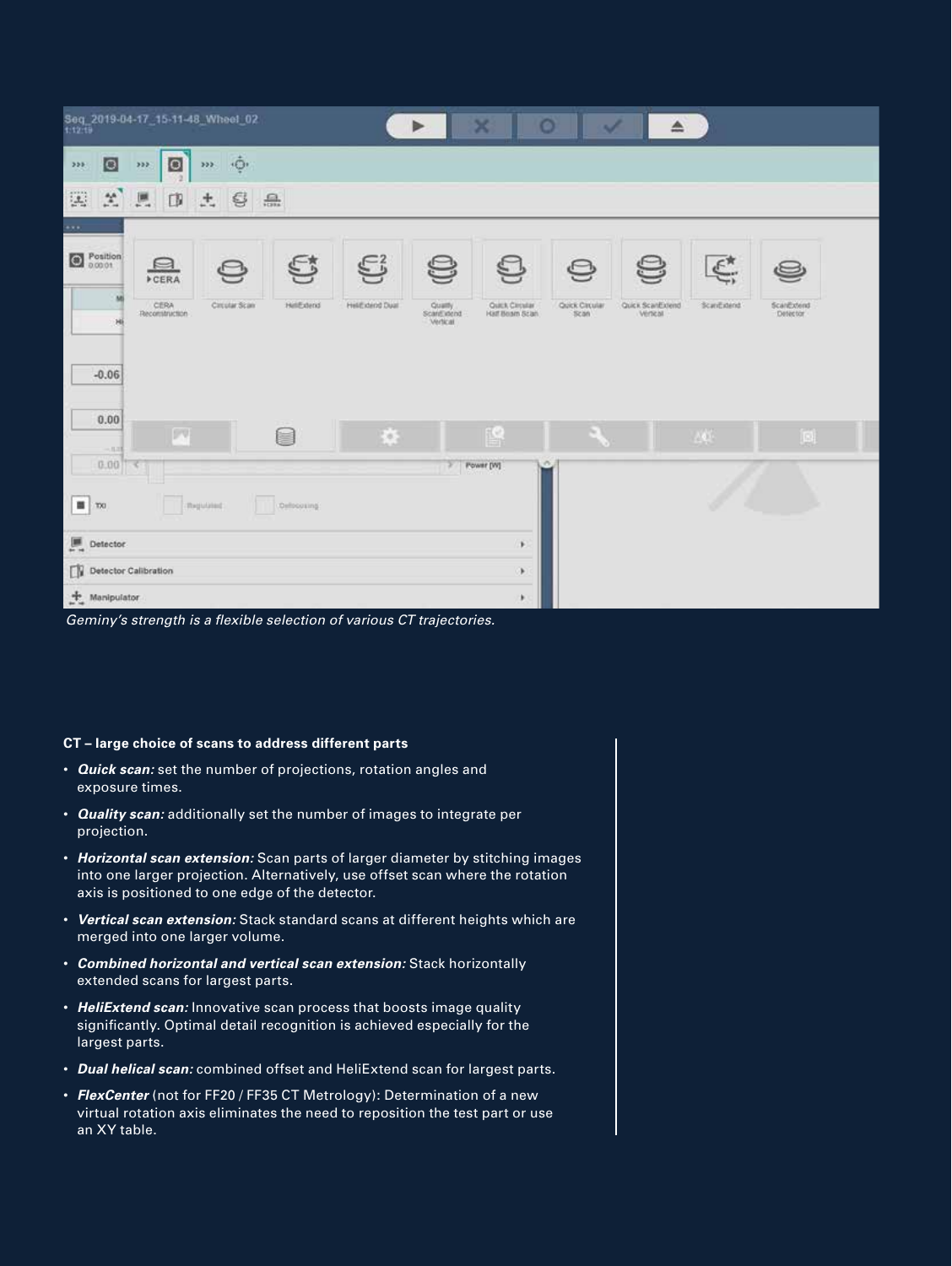| Seq_2019-04-17_15-11-48_Wheel_02<br>×<br>$\circ$<br>$\triangle$<br>▶<br>$\checkmark$<br>1:12:19                       |                                                                                            |                                       |                             |                                                                   |                             |  |  |  |  |
|-----------------------------------------------------------------------------------------------------------------------|--------------------------------------------------------------------------------------------|---------------------------------------|-----------------------------|-------------------------------------------------------------------|-----------------------------|--|--|--|--|
| $\circ$<br>$\Box$<br>$\cdot \tilde{Q}$<br>333<br>333.<br>333.                                                         |                                                                                            |                                       |                             |                                                                   |                             |  |  |  |  |
| $\Xi$<br>$\mathbb{S}$<br>$\mathbb{X}$<br>鳳<br>印<br>$\frac{\Omega}{nm}$<br>土                                           |                                                                                            |                                       |                             |                                                                   |                             |  |  |  |  |
| $\overline{1}$<br>Position<br>€<br>$\Box$<br><b>FCERA</b><br>M<br>CERA<br>Circular Scan<br>HeliExtend<br>Recommuction | $\mathbb{S}^2$<br>9<br><b>Helit dend Dual</b><br><b>Quality</b><br>Scanfixtend<br>Vertical | g<br>Outch Circular<br>Half Boam Scan | S<br>Quick Circular<br>Scan | $\widehat{\epsilon}$<br>Quick ScanExtend<br>ScanExtend<br>Vérical | e<br>ScanExtend<br>Detector |  |  |  |  |
| $-0.06$<br>0.00<br>8<br>[99]<br>$-1.11$                                                                               | 鐜                                                                                          | K                                     | P,                          | $\Delta \mathbf{Q}$ .                                             | $\boxed{\text{[2]}}$        |  |  |  |  |
| 0.00<br>Power [W]<br>x<br>×<br>$\blacksquare$<br>myuuset<br><b>Comooxing</b>                                          |                                                                                            |                                       |                             |                                                                   |                             |  |  |  |  |
| $\mathbf{B}$ Detector                                                                                                 |                                                                                            | r                                     |                             |                                                                   |                             |  |  |  |  |
| Detector Calibration<br>$+$ Manipulator                                                                               |                                                                                            | ×<br>×                                |                             |                                                                   |                             |  |  |  |  |

*Geminy's strength is a flexible selection of various CT trajectories.*

### **CT – large choice of scans to address different parts**

- *Quick scan:* set the number of projections, rotation angles and exposure times.
- *Quality scan:* additionally set the number of images to integrate per projection.
- *Horizontal scan extension:* Scan parts of larger diameter by stitching images into one larger projection. Alternatively, use offset scan where the rotation axis is positioned to one edge of the detector.
- *Vertical scan extension:* Stack standard scans at different heights which are merged into one larger volume.
- *Combined horizontal and vertical scan extension:* Stack horizontally extended scans for largest parts.
- *HeliExtend scan:* Innovative scan process that boosts image quality significantly. Optimal detail recognition is achieved especially for the largest parts.
- *Dual helical scan:* combined offset and HeliExtend scan for largest parts.
- *FlexCenter* (not for FF20 / FF35 CT Metrology): Determination of a new virtual rotation axis eliminates the need to reposition the test part or use an XY table.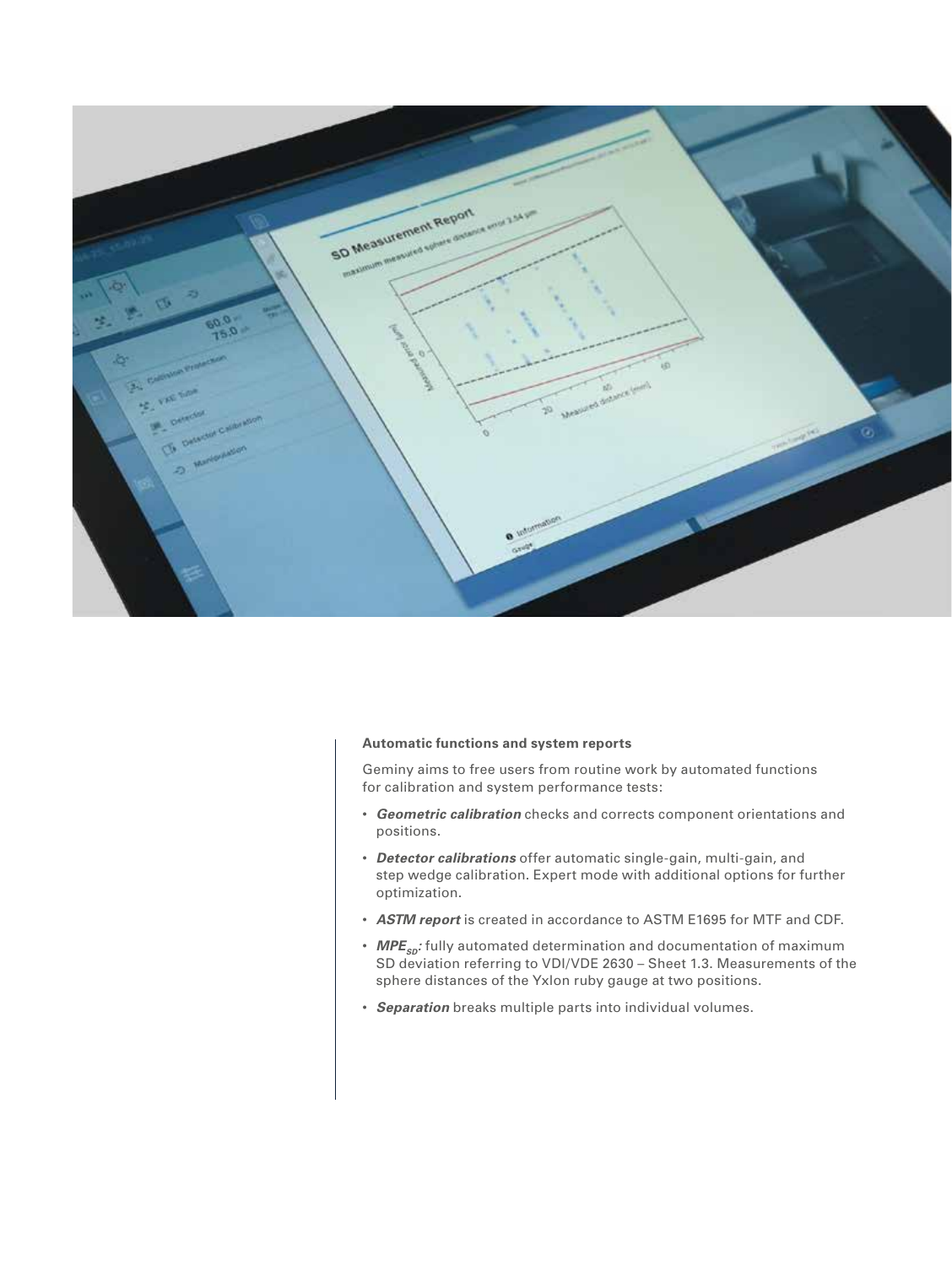

## **Automatic functions and system reports**

Geminy aims to free users from routine work by automated functions for calibration and system performance tests:

- *Geometric calibration* checks and corrects component orientations and positions.
- *Detector calibrations* offer automatic single-gain, multi-gain, and step wedge calibration. Expert mode with additional options for further optimization.
- *ASTM report* is created in accordance to ASTM E1695 for MTF and CDF.
- **MPE**<sub>sp</sub>: fully automated determination and documentation of maximum SD deviation referring to VDI/VDE 2630 – Sheet 1.3. Measurements of the sphere distances of the Yxlon ruby gauge at two positions.
- *Separation* breaks multiple parts into individual volumes.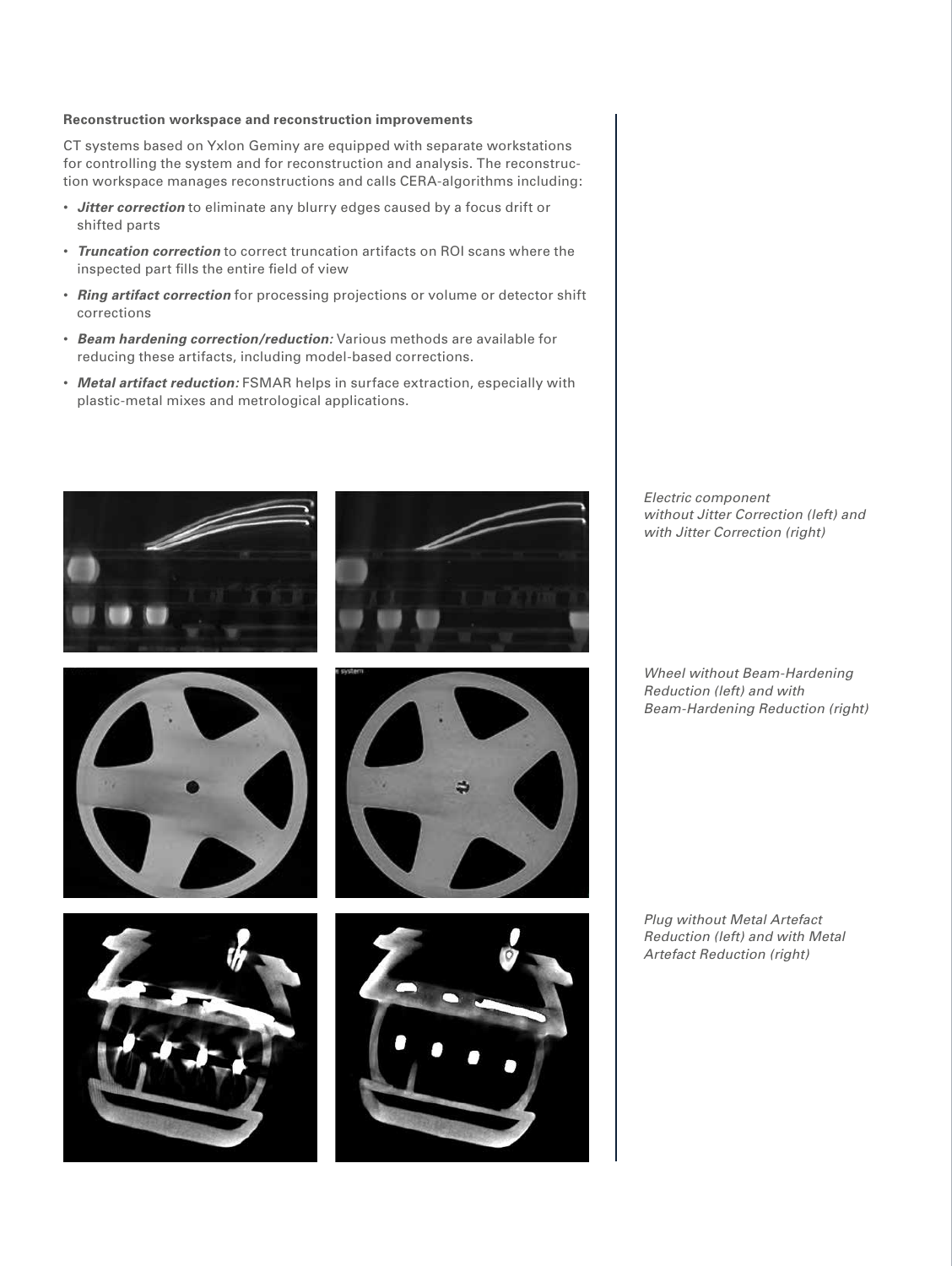### **Reconstruction workspace and reconstruction improvements**

CT systems based on Yxlon Geminy are equipped with separate workstations for controlling the system and for reconstruction and analysis. The reconstruction workspace manages reconstructions and calls CERA-algorithms including:

- *Jitter correction* to eliminate any blurry edges caused by a focus drift or shifted parts
- *Truncation correction* to correct truncation artifacts on ROI scans where the inspected part fills the entire field of view
- *Ring artifact correction* for processing projections or volume or detector shift corrections
- *Beam hardening correction/reduction:* Various methods are available for reducing these artifacts, including model-based corrections.
- *Metal artifact reduction:* FSMAR helps in surface extraction, especially with plastic-metal mixes and metrological applications.













*Electric component without Jitter Correction (left) and with Jitter Correction (right)*

*Wheel without Beam-Hardening Reduction (left) and with Beam-Hardening Reduction (right)*

*Plug without Metal Artefact Reduction (left) and with Metal Artefact Reduction (right)*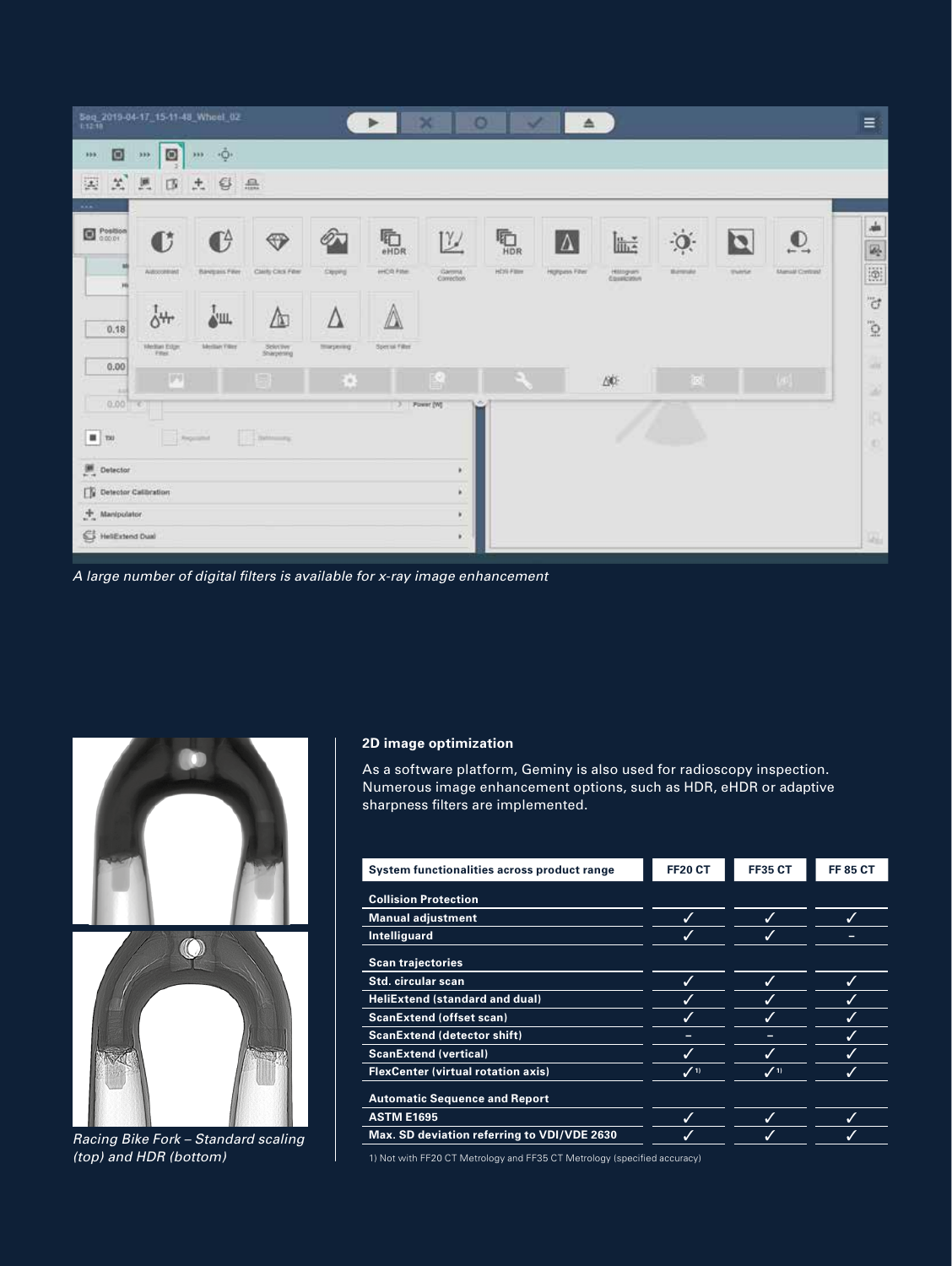| Seq_2019-04-17_15-11-48_Wheel_02<br>1:12:10                                      |                                    |                              |                           |               | Þ                                                | ×                        | $\circ$                                          | $\sqrt{2}$                   | $\triangle$                  |                           |                   |                                             | Ξ                           |
|----------------------------------------------------------------------------------|------------------------------------|------------------------------|---------------------------|---------------|--------------------------------------------------|--------------------------|--------------------------------------------------|------------------------------|------------------------------|---------------------------|-------------------|---------------------------------------------|-----------------------------|
| 回<br>(11.5)                                                                      | 回<br>300                           | $\mathbf{m} = \mathbf{\Phi}$ |                           |               |                                                  |                          |                                                  |                              |                              |                           |                   |                                             |                             |
| 孁<br>芝                                                                           | 囲<br>口                             | $\mathbb{S}$<br>土            | $\frac{\Omega}{1+\Omega}$ |               |                                                  |                          |                                                  |                              |                              |                           |                   |                                             |                             |
| 1.14<br>$\blacksquare$ Position                                                  | C<br>Adoptivit                     | $\mathbb{G}$<br>Bavgais Fee: | ↔<br>Clicky Click Filter  | <b>Claved</b> | $\overline{\mathbb{Q}}_{\mathsf{m}}$<br>HCR FINE | Ľ<br>Garma<br>Correction | $\overline{\mathbb{F}}_{\text{HDR}}$<br>HOS Flow | $\Delta$<br>Higripess Filter | 區<br>Hilligum<br>Elsencation | $\phi$<br><b>Barrista</b> | M<br><b>TWISE</b> | $\bullet$<br>8-1-<br><b>Manual Contrast</b> | $\frac{1}{\mathbb{R}}$<br>8 |
| н<br>0.18                                                                        | ᢤᡃ<br><b>Median Edge</b><br>Filter | ÅШ.<br>Median Filter         | ⚠<br>Selective            | Δ<br>mageing  | Δ<br>Special Filter                              |                          |                                                  |                              |                              |                           |                   | HT.                                         | ď<br>$\widehat{\mathbb{Q}}$ |
| 0.00<br><b>AS</b>                                                                | [199]                              |                              | w                         | æ             |                                                  | R                        |                                                  |                              | W                            | $\mathbb{E}^{(i)}$        |                   | $\left  \left[ \alpha \right] \right $      | <b>SOL</b><br>R             |
| 0.00<br>$\blacksquare$ 750<br>$\frac{300}{n-4}$ Detector<br>Detector Calibration | v<br><b>Theme</b>                  |                              | The Party                 |               |                                                  | 3 Power [W]<br>٠<br>×    |                                                  |                              |                              |                           |                   |                                             | 18.<br>$\circ$              |
| $+$ Manipulator<br><sup>2</sup> HeliExtend Dual                                  |                                    |                              |                           |               |                                                  | $\mathcal{V}$<br>×.      |                                                  |                              |                              |                           |                   |                                             | 圓                           |

*A large number of digital filters is available for x-ray image enhancement*



*Racing Bike Fork – Standard scaling (top) and HDR (bottom)*

# **2D image optimization**

As a software platform, Geminy is also used for radioscopy inspection. Numerous image enhancement options, such as HDR, eHDR or adaptive sharpness filters are implemented.

| System functionalities across product range | <b>FF20 CT</b>   | <b>FF35 CT</b> | <b>FF 85 CT</b> |  |
|---------------------------------------------|------------------|----------------|-----------------|--|
| <b>Collision Protection</b>                 |                  |                |                 |  |
| <b>Manual adjustment</b>                    |                  |                |                 |  |
| Intelliguard                                |                  |                |                 |  |
| <b>Scan trajectories</b>                    |                  |                |                 |  |
| Std. circular scan                          |                  |                |                 |  |
| HeliExtend (standard and dual)              |                  |                |                 |  |
| <b>ScanExtend (offset scan)</b>             |                  |                |                 |  |
| <b>ScanExtend (detector shift)</b>          |                  |                |                 |  |
| <b>ScanExtend (vertical)</b>                |                  |                |                 |  |
| <b>FlexCenter (virtual rotation axis)</b>   | $\mathcal{J}$ 1) | $\sqrt{1}$     |                 |  |
| <b>Automatic Sequence and Report</b>        |                  |                |                 |  |
| <b>ASTM E1695</b>                           |                  |                |                 |  |
| Max. SD deviation referring to VDI/VDE 2630 |                  |                |                 |  |

1) Not with FF20 CT Metrology and FF35 CT Metrology (specified accuracy)